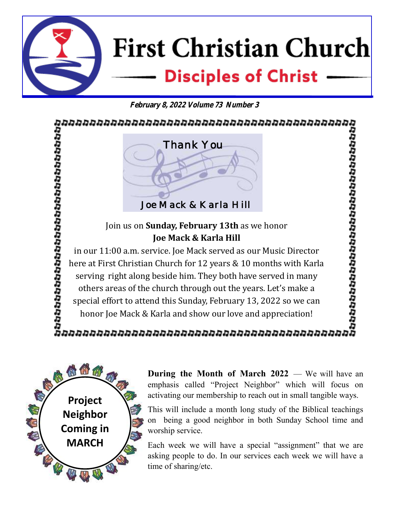**First Christian Church Disciples of Christ** 

**February 8, 2022 Volume 73 Number 3**

הממממממממממממממממממממממממממממ 100000000000000000000000000000 *Thank You Joe Mack & Karla Hill*  Join us on **Sunday, February 13th** as we honor **Joe Mack & Karla Hill**  in our 11:00 a.m. service. Joe Mack served as our Music Director here at First Christian Church for 12 years & 10 months with Karla serving right along beside him. They both have served in many others areas of the church through out the years. Let's make a special effort to attend this Sunday, February 13, 2022 so we can

honor Joe Mack & Karla and show our love and appreciation!

# 



**During the Month of March 2022** — We will have an emphasis called "Project Neighbor" which will focus on activating our membership to reach out in small tangible ways.

This will include a month long study of the Biblical teachings on being a good neighbor in both Sunday School time and worship service.

Each week we will have a special "assignment" that we are asking people to do. In our services each week we will have a time of sharing/etc.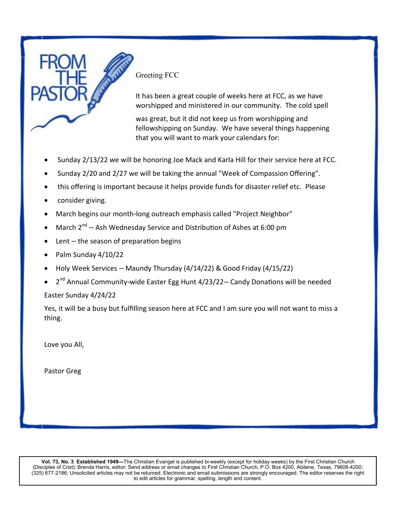

Greeting FCC

It has been a great couple of weeks here at FCC, as we have worshipped and ministered in our community. The cold spell

was great, but it did not keep us from worshipping and fellowshipping on Sunday. We have several things happening that you will want to mark your calendars for:

- Sunday 2/13/22 we will be honoring Joe Mack and Karla Hill for their service here at FCC.
- Sunday 2/20 and 2/27 we will be taking the annual "Week of Compassion Offering".
- this offering is important because it helps provide funds for disaster relief etc. Please
- consider giving.
- March begins our month-long outreach emphasis called "Project Neighbor"
- March  $2^{nd}$  -- Ash Wednesday Service and Distribution of Ashes at 6:00 pm
- Lent -- the season of preparation begins
- Palm Sunday 4/10/22
- Holy Week Services -- Maundy Thursday (4/14/22) & Good Friday (4/15/22)
- 2<sup>nd</sup> Annual Community-wide Easter Egg Hunt 4/23/22-- Candy Donations will be needed Easter Sunday 4/24/22

Yes, it will be a busy but fulfilling season here at FCC and I am sure you will not want to miss a thing.

Love you All,

Pastor Greg

**Vol. 73, No. 3 Established 1949—**The Christian Evangel is published bi-weekly (except for holiday weeks) by the First Christian Church (Disciples of Crist): Brenda Harris, editor; Send address or email changes to First Christian Church, P.O. Box 4200, Abilene, Texas, 79608-4200; (325) 677-2186; Unsolicited articles may not be returned. Electronic and email submissions are strongly encouraged. The editor reserves the right to edit articles for grammar, spelling, length and content.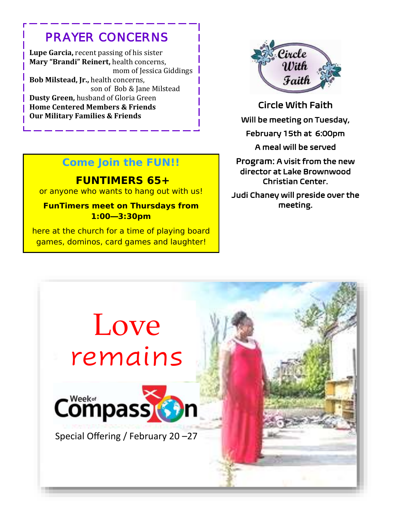# *PRAYER CONCERNS*

 **Lupe Garcia,** recent passing of his sister  **Mary "Brandi" Reinert,** health concerns, mom of Jessica Giddings **Bob Milstead, Jr.,** health concerns, son of Bob & Jane Milstead **Dusty Green, husband of Gloria Green Home Centered Members & Friends Our Military Families & Friends**



Circle With Faith Will be meeting on Tuesday, February 15th at 6:00pm

## **Come Join the FUN!!**

**FUNTIMERS 65+**  or anyone who wants to hang out with us!

**FunTimers meet on Thursdays from 1:00—3:30pm** 

here at the church for a time of playing board games, dominos, card games and laughter!

#### A meal will be served

Program: A visit from the new director at Lake Brownwood Christian Center.

Judi Chaney will preside over the meeting.

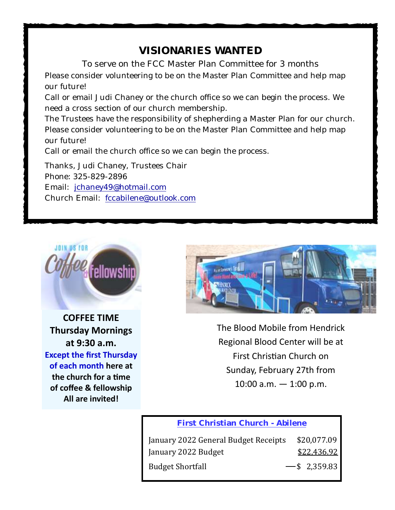# **VISIONARIES WANTED**

To serve on the FCC Master Plan Committee for 3 months Please consider volunteering to be on the Master Plan Committee and help map our future!

Call or email Judi Chaney or the church office so we can begin the process. We need a cross section of our church membership.

The Trustees have the responsibility of shepherding a Master Plan for our church. Please consider volunteering to be on the Master Plan Committee and help map our future!

Call or email the church office so we can begin the process.

Thanks, Judi Chaney, Trustees Chair Phone: 325-829-2896 Email: jchaney49@hotmail.com Church Email: fccabilene@outlook.com



**COFFEE TIME Thursday Mornings at 9:30 a.m. Except the first Thursday of each month here at the church for a time of coffee & fellowship All are invited!**



The Blood Mobile from Hendrick Regional Blood Center will be at First Christian Church on Sunday, February 27th from  $10:00$  a.m.  $-1:00$  p.m.

#### **First Christian Church - Abilene**

| January 2022 General Budget Receipts | \$20,077.09     |
|--------------------------------------|-----------------|
| January 2022 Budget                  | \$22,436.92     |
| <b>Budget Shortfall</b>              | $-$ \$ 2,359.83 |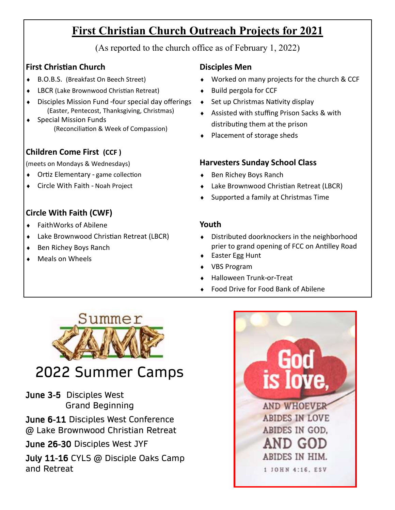# **First Christian Church Outreach Projects for 2021**

(As reported to the church office as of February 1, 2022)

### **First Christian Church**

- ◆ B.O.B.S. (Breakfast On Beech Street)
- LBCR (Lake Brownwood Christian Retreat)
- Disciples Mission Fund -four special day offerings (Easter, Pentecost, Thanksgiving, Christmas)
- Special Mission Funds (Reconciliation & Week of Compassion)

### **Children Come First (CCF )**

(meets on Mondays & Wednesdays)

- Ortiz Elementary game collection
- Circle With Faith Noah Project

## **Circle With Faith (CWF)**

- FaithWorks of Abilene
- Lake Brownwood Christian Retreat (LBCR)
- ◆ Ben Richey Boys Ranch
- Meals on Wheels

### **Disciples Men**

- Worked on many projects for the church & CCF
- $\bullet$  Build pergola for CCF
- $\bullet$  Set up Christmas Nativity display
- Assisted with stuffing Prison Sacks & with distributing them at the prison
- ◆ Placement of storage sheds

#### **Harvesters Sunday School Class**

- ◆ Ben Richey Boys Ranch
- Lake Brownwood Christian Retreat (LBCR)
- ◆ Supported a family at Christmas Time

#### **Youth**

- Distributed doorknockers in the neighborhood prier to grand opening of FCC on Antilley Road
- ◆ Easter Egg Hunt
- VBS Program
- Halloween Trunk-or-Treat
- Food Drive for Food Bank of Abilene



# 2022 Summer Camps

June 3-5 Disciples West Grand Beginning

June 6-11 Disciples West Conference @ Lake Brownwood Christian Retreat

June 26-30 Disciples West JYF

July 11-16 CYLS @ Disciple Oaks Camp and Retreat